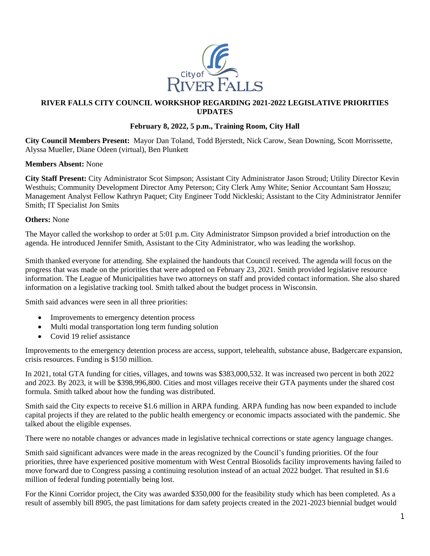

## **RIVER FALLS CITY COUNCIL WORKSHOP REGARDING 2021-2022 LEGISLATIVE PRIORITIES UPDATES**

## **February 8, 2022, 5 p.m., Training Room, City Hall**

**City Council Members Present:** Mayor Dan Toland, Todd Bjerstedt, Nick Carow, Sean Downing, Scott Morrissette, Alyssa Mueller, Diane Odeen (virtual), Ben Plunkett

## **Members Absent:** None

**City Staff Present:** City Administrator Scot Simpson; Assistant City Administrator Jason Stroud; Utility Director Kevin Westhuis; Community Development Director Amy Peterson; City Clerk Amy White; Senior Accountant Sam Hosszu; Management Analyst Fellow Kathryn Paquet; City Engineer Todd Nickleski; Assistant to the City Administrator Jennifer Smith; IT Specialist Jon Smits

## **Others:** None

The Mayor called the workshop to order at 5:01 p.m. City Administrator Simpson provided a brief introduction on the agenda. He introduced Jennifer Smith, Assistant to the City Administrator, who was leading the workshop.

Smith thanked everyone for attending. She explained the handouts that Council received. The agenda will focus on the progress that was made on the priorities that were adopted on February 23, 2021. Smith provided legislative resource information. The League of Municipalities have two attorneys on staff and provided contact information. She also shared information on a legislative tracking tool. Smith talked about the budget process in Wisconsin.

Smith said advances were seen in all three priorities:

- Improvements to emergency detention process
- Multi modal transportation long term funding solution
- Covid 19 relief assistance

Improvements to the emergency detention process are access, support, telehealth, substance abuse, Badgercare expansion, crisis resources. Funding is \$150 million.

In 2021, total GTA funding for cities, villages, and towns was \$383,000,532. It was increased two percent in both 2022 and 2023. By 2023, it will be \$398,996,800. Cities and most villages receive their GTA payments under the shared cost formula. Smith talked about how the funding was distributed.

Smith said the City expects to receive \$1.6 million in ARPA funding. ARPA funding has now been expanded to include capital projects if they are related to the public health emergency or economic impacts associated with the pandemic. She talked about the eligible expenses.

There were no notable changes or advances made in legislative technical corrections or state agency language changes.

Smith said significant advances were made in the areas recognized by the Council's funding priorities. Of the four priorities, three have experienced positive momentum with West Central Biosolids facility improvements having failed to move forward due to Congress passing a continuing resolution instead of an actual 2022 budget. That resulted in \$1.6 million of federal funding potentially being lost.

For the Kinni Corridor project, the City was awarded \$350,000 for the feasibility study which has been completed. As a result of assembly bill 8905, the past limitations for dam safety projects created in the 2021-2023 biennial budget would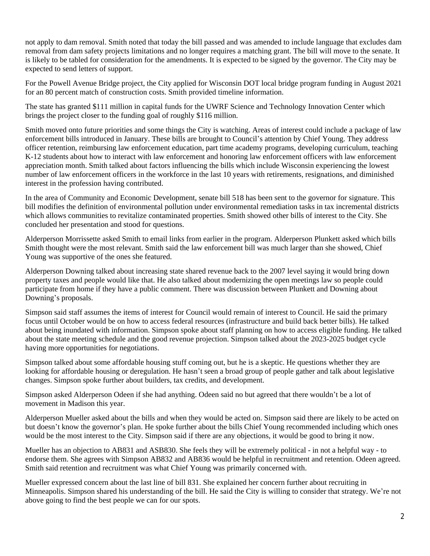not apply to dam removal. Smith noted that today the bill passed and was amended to include language that excludes dam removal from dam safety projects limitations and no longer requires a matching grant. The bill will move to the senate. It is likely to be tabled for consideration for the amendments. It is expected to be signed by the governor. The City may be expected to send letters of support.

For the Powell Avenue Bridge project, the City applied for Wisconsin DOT local bridge program funding in August 2021 for an 80 percent match of construction costs. Smith provided timeline information.

The state has granted \$111 million in capital funds for the UWRF Science and Technology Innovation Center which brings the project closer to the funding goal of roughly \$116 million.

Smith moved onto future priorities and some things the City is watching. Areas of interest could include a package of law enforcement bills introduced in January. These bills are brought to Council's attention by Chief Young. They address officer retention, reimbursing law enforcement education, part time academy programs, developing curriculum, teaching K-12 students about how to interact with law enforcement and honoring law enforcement officers with law enforcement appreciation month. Smith talked about factors influencing the bills which include Wisconsin experiencing the lowest number of law enforcement officers in the workforce in the last 10 years with retirements, resignations, and diminished interest in the profession having contributed.

In the area of Community and Economic Development, senate bill 518 has been sent to the governor for signature. This bill modifies the definition of environmental pollution under environmental remediation tasks in tax incremental districts which allows communities to revitalize contaminated properties. Smith showed other bills of interest to the City. She concluded her presentation and stood for questions.

Alderperson Morrissette asked Smith to email links from earlier in the program. Alderperson Plunkett asked which bills Smith thought were the most relevant. Smith said the law enforcement bill was much larger than she showed, Chief Young was supportive of the ones she featured.

Alderperson Downing talked about increasing state shared revenue back to the 2007 level saying it would bring down property taxes and people would like that. He also talked about modernizing the open meetings law so people could participate from home if they have a public comment. There was discussion between Plunkett and Downing about Downing's proposals.

Simpson said staff assumes the items of interest for Council would remain of interest to Council. He said the primary focus until October would be on how to access federal resources (infrastructure and build back better bills). He talked about being inundated with information. Simpson spoke about staff planning on how to access eligible funding. He talked about the state meeting schedule and the good revenue projection. Simpson talked about the 2023-2025 budget cycle having more opportunities for negotiations.

Simpson talked about some affordable housing stuff coming out, but he is a skeptic. He questions whether they are looking for affordable housing or deregulation. He hasn't seen a broad group of people gather and talk about legislative changes. Simpson spoke further about builders, tax credits, and development.

Simpson asked Alderperson Odeen if she had anything. Odeen said no but agreed that there wouldn't be a lot of movement in Madison this year.

Alderperson Mueller asked about the bills and when they would be acted on. Simpson said there are likely to be acted on but doesn't know the governor's plan. He spoke further about the bills Chief Young recommended including which ones would be the most interest to the City. Simpson said if there are any objections, it would be good to bring it now.

Mueller has an objection to AB831 and ASB830. She feels they will be extremely political - in not a helpful way - to endorse them. She agrees with Simpson AB832 and AB836 would be helpful in recruitment and retention. Odeen agreed. Smith said retention and recruitment was what Chief Young was primarily concerned with.

Mueller expressed concern about the last line of bill 831. She explained her concern further about recruiting in Minneapolis. Simpson shared his understanding of the bill. He said the City is willing to consider that strategy. We're not above going to find the best people we can for our spots.